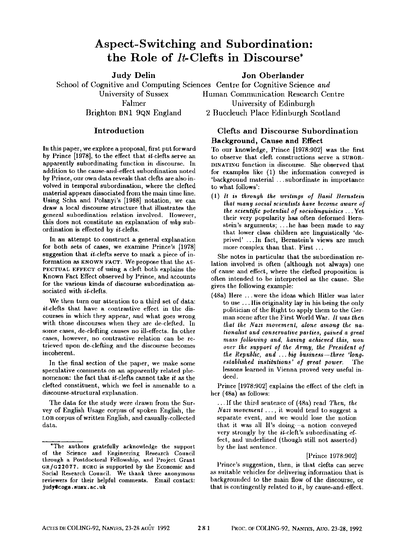# **Aspect-Switching and Subordination:**  the Role of It-Clefts in Discourse\*

Judy Delin Jon Oberlander School of Cognitive and Computing Sciences Centre for Cognitive Science *and*  University of Sussex Falmer Brighton BN1 9QN England

## Introduction

In this paper, we explore a proposal, first put forward by Prince [1978], to the effect that it-clefts serve an apparently subordinating function in discourse. In addition to the cause-and-effect subordination noted by Prince, our own data reveals that clefts are also involved in temporal subordination, where the clefted material appears dissociated from the main time line. Using Scha and Polanyi's [1988] notation, we can draw a local discourse structure that illustrates the general subordination relation involved. However, this does not coustitute an explanation of *why* subordination is effected by it-clefts.

In an attempt to construct a general explanation for both sets of cases, we examine Prince's [1978] suggestion that it-clefts serve to mark a piece of information as KNOWN FACT. We propose that the AS-PECTUAL EFFECT of using a cleft both explains the Known Fact Effect observed by Prince, and accounts for the various kinds of discourse subordination associated with it-clefts.

We then turn our attention to a third set of data: it-clefts that have a contrastive effect in the discourses in wbicb they appear, and what goes wrong with those discourses when they are de-elefted. In some cases, de-clefting causes no ill-effects. In other cases, however, no contrastive relation can be retrieved upon de-clefting and the discourse becomes incoherent.

In the final section of the paper, we make some speculative comments on an apparently related phenomenon: the fact that it-clefts cannot take *it as* the clefted constituent, which we feel is amenable to a discourse-structural explanation.

The data for the study were drawn from the Survey of English Usage corpus of spoken English, tile LOB corpus of written English, and casually-collected data.

Human Communication Research Centre University of Edinburgh 2 Buccleuch Place Edinburgh Scotland

## Clefts and Discourse Subordination Background, Cause and Effect

To our knowledge, Prince [1978:902] was the first to observe that cleft constructions serve a SUBOR-DINATING function in discourse. She observed that for examples like (1) the information conveyed is 'background material ...subordinate in importance to what follows':

(1) *It is through the writings of Basil Bernsteiu that many social scientists have become aware of the scientific potential of sociolinguistics ...* Yet their very popularity has often deformed Bernstein's arguments; ...he has been made to say that lower class children are linguistically 'deprived' ...In fact, Bernstein's views are much more complex than that. First ...

She notes in particular that the subordination relation involved is often (although not always) one of cause emd effect, where the clefted proposition is often intended to be interpreted as the cause. She gives the following example:

(48a) Here ... were the ideas which Hitler was later to use.., lfis originality lay in his being the only politician of the Right to apply them to the German scene after the First World War. *It was then that the Nazi movement, alone among the nationalist and conservative pa\*ties, gained a great mass following and, having achieved this, won over the support of the Army, the President of the Republic, and.., big business--three 'long* $estabished$  institutions' of great power. lessons learned in Vienna proved very useful indeed.

Prince [1978:902] explains the effect of the cleft in her (48a) as follows:

•.. If the third sentence of (48a) read *Then, the Nazi movement . ..,* it would tend to suggest a separate event, and we would lose the notion that it was all  $H$ 's doing- $-a$  notion conveyed very strongly by the  $it$ -cleft's subordinating effect, and underlined (though still not asserted) by the last sentence.

#### [Prince 1978:902]

Prince's suggestion, then, is that clefts can serve as suitable vehicles for deliveriug information that is baekgrouudcd to the main flow of the discourse, or that is contingently related to it, by cause-and-effect.

<sup>\*</sup>The authors gratefully acknowledge the support of the Science and Engineering Research Council through a Postdoctoral Fellowship, and Project Grant GR/G22077. HORC is supported by the Economic and Social Research Council. We thank three anonymous reviewers for their helpful comments. Email contact: judy@cogs.susx.ac.uk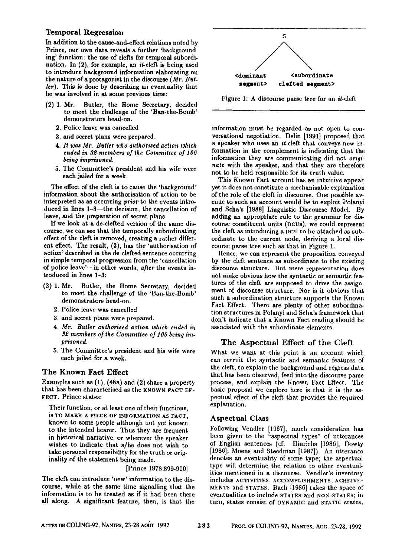### Temporal Regression

In addition to the cause-and-effect relations noted by Prince, our own data reveals a further 'backgrounding' function: the use of clefts for temporal subordination. In  $(2)$ , for example, an *it*-cleft is being used to introduce background information elaborating on the nature of a protagonist in the discourse *(Mr. Butler).* This is done by describing an eventuality that he was involved in at some previous time:

- (2) 1. Mr. Butler, the Home Secretary, decided to meet the challenge of the 'Ban-the-Bomb' demonstrators head-on.
	- 2. Police leave was cancelled
	- 3. and secret plans were prepared.
	- *4. It was Mr. Butler who authoriscd action which ended in 3Y, members of the Committee of 100 being imprisoned.*
	- 5. The Committee's president and his wife were each jailed for a week.

The effect of the cleft is to cause the 'background' information about the anthorisation of action to be interpreted as as occurring *prior* to the events introduced in lines 1-3-the decision, the cancellation of leave, and the preparation of secret plans.

If we look at a de-clefted version of the same discourse, we can see that the temporally subordinating effect of the cleft is removed, creating a rather different effect. The result, (3), has the 'authorisation of action' described in the de-clefted sentence occurring in simple temporal progression from the 'cancellation of police leave'--in other words, *after* the events introduced in lines 1-3:

- (3) 1. Mr. Butler, the Home Secretary, decided to meet the challenge of the 'Ban-the-Bomb' demonstrators head-on.
	- 2. Police leave was cancelled
	- 3. and secret plans were prepared.
	- *4. Mr. Butler authorised action which ended in 3~ members of the Committee of lO0 being imprisoned.*
	- 5. The Committee's president and his wife were each jailed for a week.

#### The Known Fact Effect

Examples such as (1), (48a) and (2) share a property that has been characterised as the KNOWN *FACT* EF-FECT. Prince states:

Their function, or at least one of their functions, is TO MARK A PIECE OF INFORMATION AS FACT, known to some people although not yet known to the intended hearer. Thus they are frequent in historical narrative, or wherever the speaker wishes to indicate that s/he does not wish to take personal responsibility for the truth or originality of the statement being made.

[Prince 1978:899-900]

The cleft can introduce 'new' information to the discourse, while at the same time signalling that the information is to be treated as if it had been there all along. A significant feature, then, is that the



Figure 1: A discourse parse tree for an it-cleft

information must be regarded as not open to conversational negotiation. Delin [1991] proposed that a speaker who uses an it-cleft that conveys new information in the complement is indicating that the information they are communicating did not *originate* with the speaker, and that they are therefore not to be held responsible for its truth value.

This Known Fact account has an intuitive appeal; yet it does not constitute a meehanisable explanation of the role of the cleft in discourse. One possible avenue to such an account would be to exploit Polanyi and Scha's [1988] Linguistic Discourse Model. By adding an appropriate rule to the grammar for discourse constituent units (DCDS), we could represent the cleft as introducing a DCO to be attached as subordinate to the current node, deriving a local discourse parse tree such as that in Figure 1.

Hence, we can represent the proposition conveyed by the cleft sentence as subordinate to the existing discourse structure. But mere representation does not make obvious how the syntactic or semantic features of the cleft are supposed to drive the assignment of discourse structure. Nor is it obvious that such a subordination structure supports the Known Fact Effect. There are plenty of other subordination structures in Polanyi and Scha's framework that don't indicate that a Known Fact reading should be associated with the subordinate elements.

## The Aspectual Effect of the Cleft

What we want at this point is an account which can recruit the syntactic and semantic features of the cleft, to explain the background and regress data that has been observed, feed into the discourse parse process, and explain the Known Fact Effect. The basic proposal we explore here is that it is the aspectual effect of the cleft that provides the required explanation.

#### Aspect ual Class

Following Vendler [1967], much consideration has been given to the "aspectual types" of utterances of English sentences (cf. Hinrichs [1986]; Dowty [1986]; Moens and Steedman [19871). An utterance denotes an eventuality of some type; the aspectual type will determine the relation to other eventualities mentioned in a discourse. Vendler's inventory includes ACTIVITIES, ACCOMPLISHMENTS, ACHEIVE-MENTS and STATES, Bach [1986] takes the space of eventualities to include STATES and NON-STATES; in turn, states consist of DYNAMIC and STATIC states,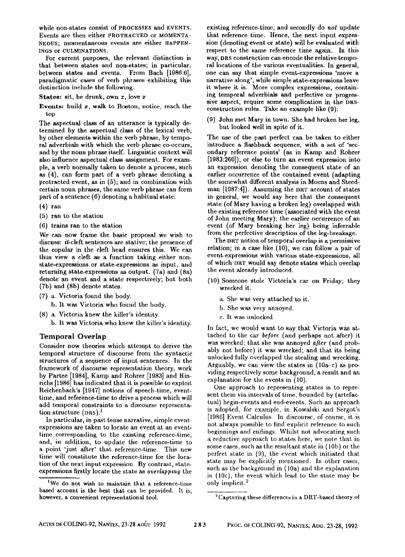while non-states consist of PROCESSES and EVENTS. Events are then either PROTRACTED or MOMENTA-NEOUS; momentaneous events are either HAPPEN-INGS or CULMINATIONS.

For current purposes, the relevant distinction is that between states and non-states; in particular, between states and events. From Bach [1986:6], paradigmatic cases of verb phrases exhibiting this distinction include the following:

States: sit, be drunk, own x, love x

**Events:** build z, walk to Boston, notice, reach the top

The aspectual class of an utterance is typically determined by the aspectual class of the lexical verb, by other elements within the verb phrase, by temporal adverbials with which the verb phrase co-occurs, and by the noun phrase itself. Linguistic context will also influence aspectual class assignment. For example, a verb normally taken to denote a process, such as (4), can form part of a verb phrase deuoting a protracted event, as in  $(5)$ ; and in combination with certain noun phrases, the same verb phrase can form part of a sentence  $(6)$  denoting a habitual state:

(4) ran

- (5) ran to the station
- (6) trains ran to the station

We can now frame the basic proposal we wish to discuss: it-cleft sentences are stative; the presence of the copular in the cleft head ensures this. We can thus view a cleft as a function taking either nonstate-expressions or state-expressions as input, and returning state-expressions as output. (Ta) and (8a) denote an event and a state respectively; but both (Tb) and (8b) denote states.

- (7) a. Victoria found the body.
	- b. It was Victoria who found the hody.
- (8) a. Victoria knew the killer's identity.
- b. It was Victoria who knew the killer's identity.

#### Temporal Overlap

Consider now theories which attempt to derive the temporal structure of discourse from the syntactic structures of a sequence of input sentences. In the framework of discourse representation theory, work by Partee [1984], Kamp and Rohrer [1983] and Hinrichs [1986] has indicated that it is possible to exploit Reichenbach's [1947] notions of speech-time, eventtime, and reference-time to drive a process which will add temporal constraints to a discourse representation structure  $(DRS).<sup>1</sup>$ 

In particular, in past tense narrative, simple eventexpressions are taken to locate an event at an eventtime corresponding to the existing reference-time, and, in addition, to update the reference-time to a point 'just after' that reference-time. This new time wil! constitute the reference-time for the location of the next input expression. By contrast, stateexpressions firstly locate the state as *overlapping* the

existing reference-time; and secondly do *not* update that reference time. Hence, the next input expression (denoting event or state) will be evaluated with respect to the same reference time again. In this way, DRS construction can encode the relative temporal locations of the various eventualities. In general, one can say that simple event-expressions 'move a narrative along', while simple state-expressions leave it where it is. More complex expressions, containing temporal adverbials and perfective or progressive aspect, require some complication in the DRSconstruction rules. Take an example like (9):

(9) John met Mary in town. She had broken her leg, but looked well in spite of it.

The use of the past perfect can be taken to either introduce a flashback sequence, with a set of 'secondary reference points' (as in Kamp and Rohrer [1983:260]), or else to turn an event expression into an expression denoting the consequent state of an earlier occurrence of the contained event (adapting the somewhat different analysis in Moens and Steedman  $[1987:4]$ ). Assuming the DRT account of states in general, we would say here that the consequent state (of Mary having a broken leg) overlapped with the existing reference time (associated with the event of John meeting Mary); the earlier occurrence of an event (of Mary breaking her leg) being inferrable from the perfective description of the leg-breakage.

The DRT notion of temporal overlap is a permissive relation; in a case like (10), we can follow a pair of event-expressions with various state-expressions, all of which DRT would say denote states which overlap the event already introduced.

- (10) Someone stole Victoria's car on Friday; they wrecked it.
	- a. She was very attached to it.
	- b. She was very annoyed.
	- c. It was unlocked.

In fact, we would want to say that Victoria was attached to the car *before* (and perhaps not after) it was wrecked; that sbe was annoyed *after* (and probably not before) it was wrecked; and that its being unlocked fully overlapped the stealing and wrecking. Arguably, we can view the states in (10a-c) as providing respectively some background, a result and an explanation for the events in  $(10)$ .

One approach to representing states is to represent them via intervals of time, bounded by (artefactual) begin-events and end-events. Such an approach is adopted, for example, in Kowalski and Sergot's [1986] Event Calculus. In discourse, of course, it is not always possible to find explicit reference to anch beginnings and endings. Whilst not advocating such a reductivc approach to states here, we note that in some cases, such as the resultant state in (10b) or the perfect state in (9), the event which initiated that state may be explicitly mentioned. In other cases, such as the background in (10a) and the explanation in (10c), the event which lead to the state may be only implicit. 2

<sup>&</sup>lt;sup>1</sup>We do not wish to maintain that a reference-time based account is the best that can be provided. It is, however, a convenient representational tool.

 $^{2}$ Capturing these differences in a DRT-based theory of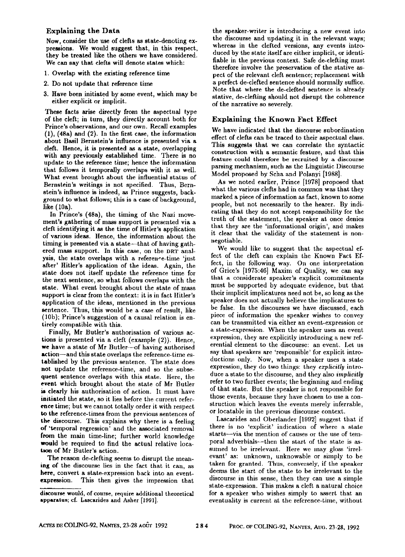#### Explaining the Data

Now, consider the use of clefts as state-denoting expressions. We would suggest that, in this respect, they be treated like the others we have considered. We can say that clefts will denote states which:

- 1. Overlap with the existing reference time
- 2. Do not update that reference time
- 3. Have been initiated by some event, which may be either explicit or implicit.

These facts arise directly from the aspectual type of the cleft; in turn, they directly account both for Prince's observations, and our own. Recall examples (1), (48a) and (2). In the first ease, the information about Basil Bernstein's influence is presented via a cleft. Hence, it is presented as a state, overlapping **with** any previously established time. There is no update to the reference time; hence the information that follows it temporally overlaps with it as well. What event brought about the influential status of Bernstein's writings is not specified. Thus, Bernstein's influence is indeed, as Prince suggests, background to what follows; this is a ease of background, like (19a).

In Prince's (48a), the timing of the Nazi movement's gathering of mass support is presented via a cleft identifying it as the time of llitler's application of various ideas. Hence, the information about the timing is presented via a state---that of having gathered mass support. In this case, on the DRT analysis, the state overlaps with a reference-time 'just after' IIitler's application of the ideas. Again, the state does not itself update the reference time for the next sentence, so what follows overlaps with the state. What event brought about the state of mass support is clear from the context: it is in fact Hitler's application of the ideas, mentioned in the previous sentence. Thus, this would be a case of result, like (10b); Prince's suggestion of a causal relation is entirely compatible with this.

Finally, Mr Butler's authorisation of various actions is presented via a cleft (example (2)). Hence, **we** have a state of Mr Butler~of having authorised action-and this state overlaps the reference-time established by the previous sentence. The state does not update the reference-time, and so the subsequent sentence overlaps with this state. Here, the **event** which brought about the state of Mr Butler is clearly his authorisation of action. It must have initiated the state, so it lies before the current referenee time; but we cannot totally order it with respect to the reference-times from the previous sentences of the discourse. This explains why there is a feeling of "temporal regression' and the associated removal from the main time-line; further world knowledge would be required to find the actual relative locatron of Mr Butler's action.

The reason de-elefting seenm to disrupt the meaning of the discourse lies in the fact that it can, as here, convert a state-expression back into an eventexpression. This then gives the impression that

the speaker-writer is introducing a new event into the discourse and updating it in the relevant ways; whereas in the clefted versions, any events introduced by the state itself are either implicit, or identifiable in the previous context. Safe de-clefting must therefore involve the preservation of the stative aspect of the relevant cleft sentence; replacement with a perfect de-clefted sentence should normally suffice. Note that where the de-clefted sentence is already stative, de-clefting should not disrupt the coherence of the narrative so severely.

## Explaining the Known Fact Effect

We have indicated that the discourse subordination effect of clefts can be traced to their aspectual class. This suggests that we can correlate the syntactic construction with a semantic feature, and that this feature could therefore be recruited by a discourse parsing mechanism, such as the Linguistic Discourse Model proposed by Seha and Polanyi [1988].

As we noted earlier, Prince [1978] proposed that what the various clefts had in common was that they marked a piece of information as fact, known to some people, but not necessarily to the hearer. By indicating that they do not accept responsibility for the truth of the statement, the speaker at once denies that they are the 'informational origin', and makes it clear that the validity of the statement is nonnegotiable.

We would like to suggest that the aspectual effect of the cleft can explain the Known Fact Effect, in the following way. On one interpretation of Grice's [1975:46] Maxim of Quality, we can say that a considerate speaker's explicit commitments must bc supported by adequate evidence, but that their implicit implicatures need not be, so long as the speaker does not actually believe the implicatures to be false. In the discourses we have discussed, each piece of information the speaker wishes to convey can be transmitted via either an event-expression or a state-expression. When the speaker uses an event expression, they are explicitly introducing a new referential element to the discourse: an event. Let us say that speakers are 'responsible' for explicit introductions only. Now, when a speaker uses a state expression, they do two things: they *explicitly* introduce a state to the discourse, and they also *implicitly*  refer to two further events; the beginning and ending of that state. But the speaker is not responsible for those events, because they have chosen to use a construction which leaves the events merely inferrable, or locatable in the previous discourse context.

Lascarides and Oberlander [1992] suggest that if there is no 'explicit' indication of where a state starts--via the mention of causes or the use of temporal adverbials-then the start of the state is assumed to be irrelevant. Here we may gloss 'irrelevant' as: unknown, unknowable or simply to be taken for granted. Thus, conversely, if the speaker deems the start of the state to be irrelevant to the discourse in this sense, then they can use a simple state-expregsion. This makes a cleft a natural choice for a speaker who wishes simply to assert that an eventuality is current at the reference-time, without

discourse would, of course, require additional theoretical apparatus; cf. Lascarides and Asher [1991].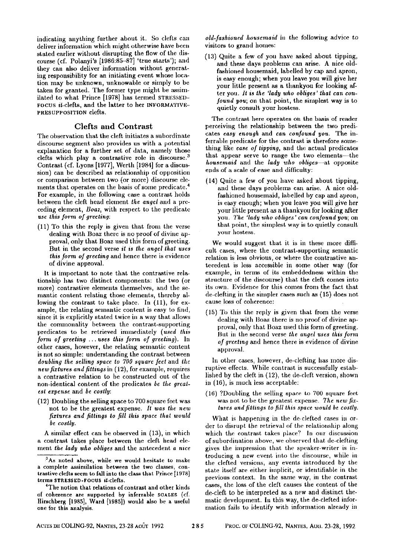indicating anything further about it. So clefts can deliver information which might otherwise have been stated earlier without disrupting the flow of the discourse (of. Polanyi's [1986:85-87] 'true starts'); and they can also deliver information without generating responsibility for an initiating event whose location may be unknown, unknowable or simply to be taken for granted. The former type might be assimilated to what Prince [1978] has termed STRESSED-FOCUS  $it$ -clefts, and the latter to her INFORMATIVE-PRESUPPOSITION clefts.

#### Clefts and Contrast

The observation that the cleft initiates a subordinate discourse segment also provides us with a potential explanation for a further set of data, namely those clefts which play a contrastive role in discourse.<sup>3</sup> Contrast (cf. Lyons [1977], Werth [1984] for a discussion) can be described as relationship of opposition or comparison between two (or more) discourse elements that operates on the basis of some predicate.<sup>4</sup> For example, in the following case a contrast holds between the cleft head element *the angel* and a preceding element, *Boaz,* with respect to the predicate *use this form of greeting:* 

(11) To this the reply is given that from the verse dealing with Boaz there is no proof of divine approval, only that Boaz used this form of greeting. But in the second verse *it is the angel that uses this form of greeting* and hence there is evidence of divine approval.

It is important to note that the contrastive relationship has two distinct components: the two (or more) coutrastive elements themselves, and the semantic content relating those elements, thereby allowing the contrast to take place. In (11), for example, the relating semantic content is easy to find, since it is explicitly stated twice in a way that allows the commonality between the contrast-supporting predicates to be retrieved inunediately *(used this form of greeting ... uses this form of greetiug).* In other cases, however, the relating semantic content is not so simple: understanding the contrast between *doubling the selling space to 700 square feet* and *the newfixturcs and fittings* in (12), for example, requires a contrastive relation to be constructed out of the non-identical content of the predicates *be the greatest e~:pcnse* and *be costly:* 

(12) Doubling the selling space to 700 square feet was not to be the greatest expense. It was the new *fixtures and fittings to fill this space that would be costly.* 

A similar effect can be observed in (13), in which a contrast takes place between the cleft head element *the lady who obliges* and the antecedent *a aice* 

*old-fashioned housemaid* in tile following advice to visitors to grand homes:

(13) Quite a few of you have asked about tipping, and these days problems can arise. A nice oldfashioned housemaid, labelled by cap and apron, is easy enough; when you leave you will give her your little present as a thankyou for looking after you. *It is the 'lady who obliges' thai can confound you;* on that point, the simplest way is to quietly consult your hostess.

The contrast here operates on the basis of reader perceiving the relationship between the two predicates *easy enough* and *can confound yon.* The inferrable predicate for the contrast is therefore something like *ease of tipping,* and the actual predicates that appear serve to range the two elements--the *housemaid* and the *lady who obliges*—at opposite ends of a scale of ease and difficulty:

(14) Quite a few of you have asked about tipping, and these days problems can arise. A nice oldfashioned housemaid, labelled by cap and apron, is easy enough; when yon leave you will give her your little prczent as a thankyou for looking after you. *The "lady who obliges' can confound you;* on that point, the simplest way is to quietly consult your hostess.

We would suggest that it is in these more difficult cases, where the contrast-supporting semantic relation is less obvious, or where the contrastive antecedent is less accessible in some other way (for example, in terms of its embeddedness within the structure of the discourse) that the cleft comes into its own. Evidence for this comes from the fact that de-clefting in the simpler cases such as (15) does not cause loss of coherence:

(15) To this the reply is given that from the verse dealing with lloaz there is no proof of divine approval, only that Boaz used this form of greeting. But in the second verse the angel uses this form *of greeting* and hence there is evidence of divine approval.

In other eases, however, de-clefting has more disruptive effects. While contrast is successfully established by the cleft in  $(12)$ , the de-cleft version, shown in (16), is much less acceptable:

 $(16)$  ?Doubling the selling space to 700 square feet was not to be the greatest expense. The new fix*tures and fittings to fill this space would be costly.* 

What is happening in the de-clefted cases in order to disrupt the retrieval of the relationship along which the contrast takes place? In our discussion of subordination above, we observed that de-clefting gives the impression that the speaker-writer is introducing a new event into the discourse, while in the clefted versions, any events introduced by the state itself are either implicit, or identifiable in the previous context. In the same way, in the contrast cases, the loss of the cleft causes the content of the de-cleft to be interpreted as a new and distinct thematic development. In this way, the de-clefted information fails to identify with information already in

<sup>&</sup>lt;sup>3</sup>As noted above, while we would hesitate to make a complete assimilation between the two classes, contrastive clefts seem to fall into the class that Prince [1978] terms STRESSED-FOOUS it-clefts.

The notion that relations of contrast and other kinds of coherence are supported by inferrable SCALES (cf. Hirschberg [1985], Ward [1985]) would also be a useful one for this analysis.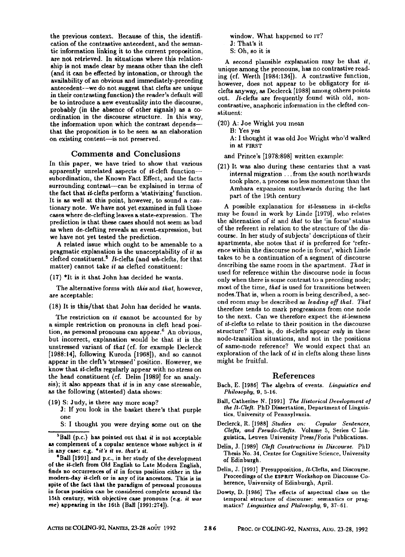the previous context. Because of this, the identification of the contrastive antecedent, and the semantic information linking it to the current proposition, are not retrieved. In situations where this relationship is not made clear by means other than the cleft (and it can be effected by intonation, or through the availability of an obvious and immediately-preceding antecedent--we do not suggest that clefts are unique in their contrasting function) the reader's default will be to introduce a new eventuality into the discourse, probably (in the absence of other signals) as a coordination in the discourse structure. In this way, the information upon which the contrast depends--that the proposition is to be seen as an elaboration on existing content-is not preserved.

#### Comments and Conclusions

In this paper, we have tried to show that various apparently unrelated aspects of it-cleft function- subordination, the Known Fact Effect, and the facts surrounding contrast--can be explained in terms of the fact that it-clefts perform a 'stativizing' function. It is as well at this point, however, to sound a cautionary note. We have not yet examined in full thoee cases where de-elefting leaves a state-expression. The prediction is that these cases should not seem as bad as when de-clefting reveals an event-expression, but we have not yet tested the prediction.

A related issue which ought to be amenable to a pragmatic explanation is the unacceptability of it as clefted constituent.<sup>5</sup> It-clefts (and wh-clefts, for that matter) cannot take *it as* clefted constituent:

 $(17)$  <sup>\*</sup>It is it that John has decided he wants.

The alternative forms with *this* and *that,* however, are acceptable:

(18) It is this/that that John has decided he wants.

The restriction on if cannot be accounted for by a simple restriction on pronouns in cleft head position, as personal pronouns can appear.<sup>6</sup> An obvious, but incorrect, explanation would be that *it* is the unstressed variant of *that* (cf. for example Declerck [1988:14], following Kuroda [1968]), and so cannot appear in the cleft's 'stressed' position. However, we know that it-clefts regularly appear with no stress on the head constituent (cf. Delin [1989] for an analysis); it also appears that *it* is in any case stressable, as the following (attested) data shows:

(19) S: Judy, is there any more soap?

**J:** If yon look in the basket there's that purple one

S: I thought you were drying some out on the

window. What happened to IT? J: That's it S: Oh, so it is

A second plausible explanation may be that it, unique among the pronouns, has no contrastive reading (el. Werth [1984:134]). A contrastive function, however, does not appear to be obligatory for itclefts anyway, as Declerck [1988] among others points out.  $It-clefts$  are frequently found with old, noncontrastive, anaphoric information in the clefted constituent:

(20) A: Joe Wright you mean

B: Yes yes

A: I thought it was old Joe Wright who'd walked in at FIRST

and Prince's [1978:898] written example:

(21) It was also during these centuries that a vast internal migration.., from the south northwards took place, a process no less momentous than the Amhara expansion southwards during the last part of the 19th century

A possible explanation for it-lessness in it-clefts may be found in work by Linde [1979], who relates the alternation of it and *thai* to the 'in focus' status of the referent in relation to the structure of the discourse. In her study of subjects' descriptions of their apartments, she notes that it is preferred for 'reference within the discourse node in focus', which Linde takes to be a continuation of a segment of discourse describing the same room in the apartment. *That is*  used for reference within the discourse node in focus only when there is some contrast to a preceding node; most of the time, *that* is used for transitions between nodes.That is, when a room is being described, a second room may be described as *leading off lhat. That*  therefore tends to mark progressions from one node to the next. Can we therefore expect the it-lessness of it-clefts to relate to their position in the discourse structure? That is, do it-clefts appear *only* in these node-transition situations, and not in the positions of same-node reference? We would expect that an exploration of the lack of it in clefts along these lines might be fruitful.

#### References

- Bach, E. [1986] The algebra of events. *Linguistics and Philosophy,* 9, 5-16.
- Ball, Catherine N. [1991] *The Historical Development of the lt.Clett.* PhD Dissertation, Department of Linguistics, University of Pennsylvania.
- Declerck, R. [1988] *Studies on: Copular Sentences, Cle]ts, and Pseudo.Clefts.* Volume 5, Series C Linguistica, Leuven University Press/Foris Publications.
- Delin, J. [1989] *Cle# Constructions in Discourse.* PhD Thesis No. 34, Centre for Cognitive Science, University of Edinburgh.
- Delin, J. [1991] Presupposition, It-Clefts, and Discourse. Proceedings of the ESPRIT Workshop on Discourse Coherence, University of Edinburgh, April.
- Dowty, D. [1986] The effects of aspectual class on the temporal structure of discourse: semantics or pragmattes? *Linguistics and Philosophy,* 9, 37-61.

 ${}^{5}$ Ball (p.c.) has pointed out that it is not acceptable as complement of a copular sentence whose subject is it in any case: e.g. *\*it's it vs. that's it.* 

SBall [1991] and p.c., in her study of the development **of the** it-cleft from Old English to Late Modern English, finds no occurrences of *it* in focus position either in the modern-day it-cleft or in any of its ancestors. This is in spite of the fact that the paradigm of personal pronouns **in** focus position can be considered complete around the 15th century, with objective case pronouns (e.g. *it was me)* appearing in the 16th (Ball [1991:274]).